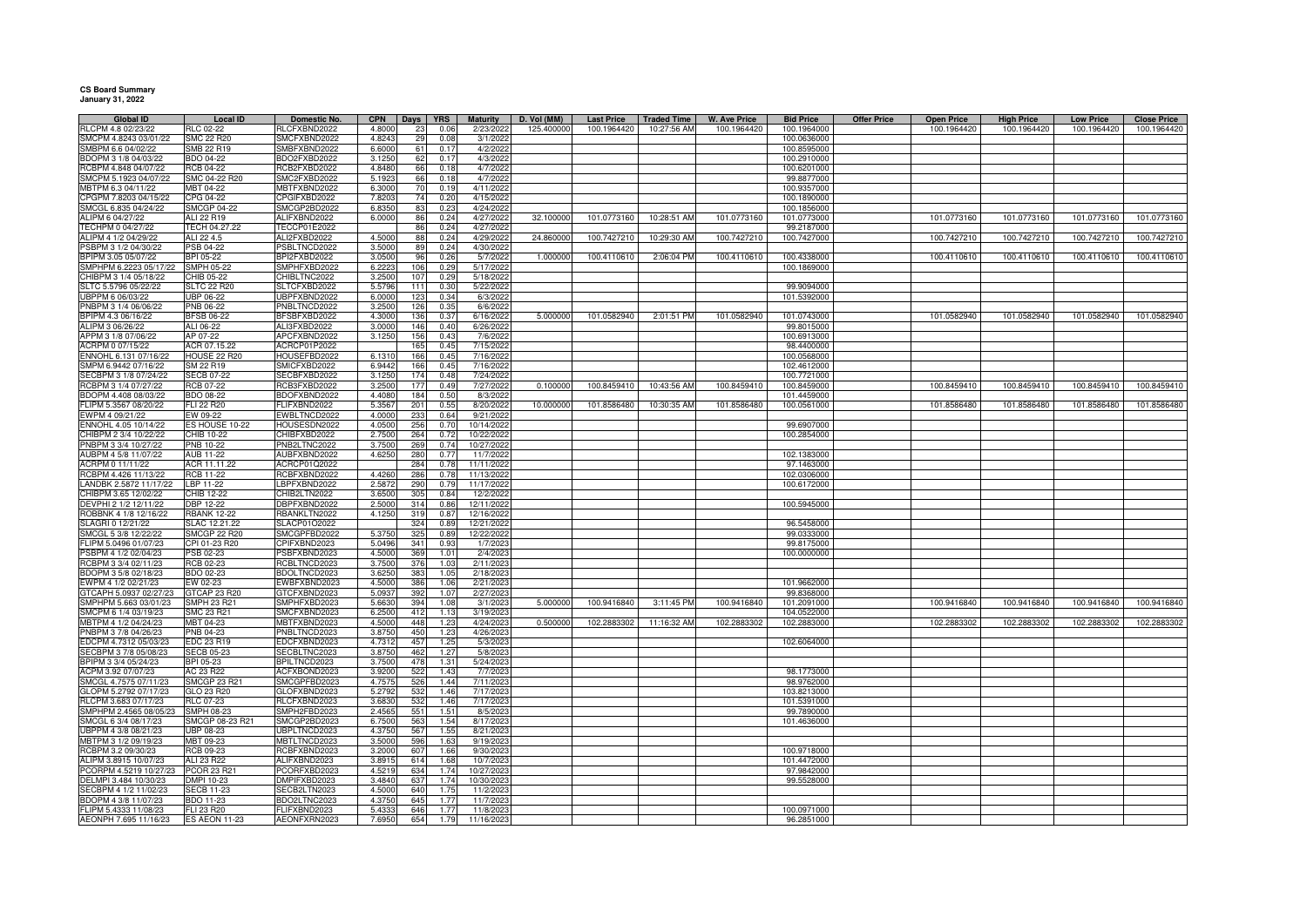**CS Board Summary January 31, 2022**

| <b>Global ID</b>       | <b>Local ID</b>      | Domestic No. | <b>CPN</b> | Days            | <b>YRS</b> | <b>Maturity</b> | D. Vol (MM) | <b>Last Price</b> | <b>Traded Time</b> | <b>W. Ave Price</b> | <b>Bid Price</b> | <b>Offer Price</b> | <b>Open Price</b> | <b>High Price</b> | <b>Low Price</b> | <b>Close Price</b> |
|------------------------|----------------------|--------------|------------|-----------------|------------|-----------------|-------------|-------------------|--------------------|---------------------|------------------|--------------------|-------------------|-------------------|------------------|--------------------|
| RLCPM 4.8 02/23/22     | <b>RLC 02-22</b>     | RLCFXBND2022 | 4.8000     | 23              | 0.06       | 2/23/2022       | 125.40000   | 100.1964420       | 10:27:56 AM        | 100.1964420         | 100.1964000      |                    | 100.1964420       | 100.1964420       | 100.1964420      | 100.1964420        |
| SMCPM 4.8243 03/01/22  | SMC 22 R20           | SMCFXBND2022 | 4.8243     | 2!              | 0.01       | 3/1/2022        |             |                   |                    |                     | 100.0636000      |                    |                   |                   |                  |                    |
| MBPM 6.6 04/02/22      | SMB 22 R19           | SMBFXBND2022 | 6.6000     | 61              | 0.1        | 4/2/2022        |             |                   |                    |                     | 100.8595000      |                    |                   |                   |                  |                    |
| BDOPM 3 1/8 04/03/22   | <b>BDO 04-22</b>     | BDO2FXBD2022 | 3.1250     | 62              | 0.17       | 4/3/2022        |             |                   |                    |                     | 100.2910000      |                    |                   |                   |                  |                    |
| CBPM 4.848 04/07/22    | RCB 04-22            | RCB2FXBD2022 | 4.848      | 66              | 0.18       | 4/7/2022        |             |                   |                    |                     | 100.6201000      |                    |                   |                   |                  |                    |
| SMCPM 5.1923 04/07/22  | SMC 04-22 R20        | SMC2FXBD2022 | 5.192      | 66              | 0.18       | 4/7/2022        |             |                   |                    |                     | 99.8877000       |                    |                   |                   |                  |                    |
| MBTPM 6.3 04/11/22     | ABT 04-22            | MBTFXBND2022 | 6.3000     | 7(              | 0.19       | 4/11/2022       |             |                   |                    |                     | 100.9357000      |                    |                   |                   |                  |                    |
| CPGPM 7.8203 04/15/22  | CPG 04-22            | CPGIFXBD2022 | 7.8203     |                 | 0.20       | 4/15/2022       |             |                   |                    |                     | 100.1890000      |                    |                   |                   |                  |                    |
| SMCGL 6.835 04/24/22   | <b>SMCGP 04-22</b>   | SMCGP2BD2022 | 6.8350     | 83              | 0.23       | 4/24/2022       |             |                   |                    |                     | 100.1856000      |                    |                   |                   |                  |                    |
|                        |                      |              |            |                 |            |                 | 32.100000   | 101.0773160       |                    | 101.0773160         |                  |                    | 101.0773160       | 101.0773160       |                  | 101.0773160        |
| ALIPM 6 04/27/22       | ALI 22 R19           | ALIFXBND2022 | 6.0000     | 86              | 0.24       | 4/27/2022       |             |                   | 10:28:51 AM        |                     | 101.0773000      |                    |                   |                   | 101.0773160      |                    |
| TECHPM 0 04/27/22      | TECH 04.27.22        | TECCP01E2022 |            | 86              | 0.24       | 4/27/2022       |             |                   |                    |                     | 99.2187000       |                    |                   |                   |                  |                    |
| ALIPM 4 1/2 04/29/22   | ALI 22 4.5           | ALI2FXBD2022 | 4.5000     | 88              | 0.24       | 4/29/2022       | 24.86000    | 100.7427210       | 10:29:30 AM        | 100.7427210         | 100.7427000      |                    | 100.7427210       | 100.7427210       | 100.7427210      | 100.7427210        |
| PSBPM 3 1/2 04/30/22   | PSB 04-22            | PSBLTNCD2022 | 3.5000     | 89              | 0.24       | 4/30/2022       |             |                   |                    |                     |                  |                    |                   |                   |                  |                    |
| BPIPM 3.05 05/07/22    | BPI 05-22            | BPI2FXBD2022 | 3.0500     | 96              | 0.26       | 5/7/2022        | 1.000000    | 100.4110610       | 2:06:04 PM         | 100.4110610         | 100.4338000      |                    | 100.4110610       | 100.4110610       | 100.4110610      | 100.4110610        |
| SMPHPM 6.2223 05/17/22 | SMPH 05-22           | SMPHFXBD2022 | 6.222      |                 | 0.29       | 5/17/2022       |             |                   |                    |                     | 100.1869000      |                    |                   |                   |                  |                    |
| CHIBPM 3 1/4 05/18/22  | CHIB 05-22           | CHIBLTNC2022 | 3.250      | 107             | 0.29       | 5/18/2022       |             |                   |                    |                     |                  |                    |                   |                   |                  |                    |
| SLTC 5.5796 05/22/22   | <b>SLTC 22 R20</b>   | SLTCFXBD2022 | 5.5796     | 111             | 0.30       | 5/22/2022       |             |                   |                    |                     | 99.9094000       |                    |                   |                   |                  |                    |
| UBPPM 6 06/03/22       | <b>UBP 06-22</b>     | UBPFXBND2022 | 6.0000     | 123             | 0.34       | 6/3/2022        |             |                   |                    |                     | 101.5392000      |                    |                   |                   |                  |                    |
| PNBPM 3 1/4 06/06/22   | PNB 06-22            | PNBLTNCD2022 | 3.2500     | 126             | 0.35       | 6/6/2022        |             |                   |                    |                     |                  |                    |                   |                   |                  |                    |
| BPIPM 4.3 06/16/22     | <b>BFSB 06-22</b>    | BFSBFXBD2022 | 4.3000     | 136             | 0.37       | 6/16/2022       | 5.000000    | 101.0582940       | 2:01:51 PM         | 101.0582940         | 101.0743000      |                    | 101.0582940       | 101.0582940       | 101.0582940      | 101.0582940        |
| ALIPM 3 06/26/22       | ALI 06-22            | ALI3FXBD2022 | 3.0000     | 146             | 0.40       | 6/26/2022       |             |                   |                    |                     | 99.8015000       |                    |                   |                   |                  |                    |
| APPM 3 1/8 07/06/22    | AP 07-22             | APCFXBND2022 | 3.1250     | 156             | 0.43       | 7/6/2022        |             |                   |                    |                     | 100.6913000      |                    |                   |                   |                  |                    |
| ACRPM 0 07/15/22       | ACR 07.15.22         | ACRCP01P2022 |            | 165             | 0.45       | 7/15/2022       |             |                   |                    |                     | 98.4400000       |                    |                   |                   |                  |                    |
| ENNOHL 6.131 07/16/22  | HOUSE 22 R20         | HOUSEFBD2022 | 6.131      | 166             | 0.45       | 7/16/2022       |             |                   |                    |                     | 100.0568000      |                    |                   |                   |                  |                    |
| SMPM 6.9442 07/16/22   | SM 22 R19            | SMICFXBD2022 | 6.9442     | 166             | 0.45       | 7/16/2022       |             |                   |                    |                     | 102.4612000      |                    |                   |                   |                  |                    |
| SECBPM 3 1/8 07/24/22  | <b>SECB 07-22</b>    | SECBFXBD2022 | 3.1250     | 174             | 0.48       | 7/24/2022       |             |                   |                    |                     | 100.7721000      |                    |                   |                   |                  |                    |
| RCBPM 3 1/4 07/27/22   | RCB 07-22            | RCB3FXBD2022 | 3.2500     | 17              | 0.49       | 7/27/2022       | 0.100000    | 100.8459410       | 10:43:56 AM        | 100.8459410         | 100.8459000      |                    | 100.8459410       | 100.8459410       | 100.8459410      | 100.8459410        |
|                        |                      |              |            | 18 <sub>1</sub> |            |                 |             |                   |                    |                     |                  |                    |                   |                   |                  |                    |
| BDOPM 4.408 08/03/22   | <b>BDO 08-22</b>     | BDOFXBND2022 | 4.408      |                 | 0.50       | 8/3/2022        |             |                   |                    |                     | 101.4459000      |                    |                   |                   |                  |                    |
| FLIPM 5.3567 08/20/22  | FLI 22 R20           | FLIFXBND2022 | 5.356      | 201             | 0.55       | 8/20/2022       | 10.00000    | 101.8586480       | 10:30:35 AM        | 101.8586480         | 100.0561000      |                    | 101.8586480       | 101.8586480       | 101.8586480      | 101.8586480        |
| WPM 4 09/21/22         | EW 09-22             | EWBLTNCD2022 | 4.000      | 23              | 0.64       | 9/21/2022       |             |                   |                    |                     |                  |                    |                   |                   |                  |                    |
| NNOHL 4.05 10/14/22    | ES HOUSE 10-22       | HOUSESDN2022 | 4.0500     | 256             | 0.70       | 10/14/2022      |             |                   |                    |                     | 99.6907000       |                    |                   |                   |                  |                    |
| CHIBPM 2 3/4 10/22/22  | CHIB 10-22           | CHIBFXBD2022 | 2.7500     | 264             | 0.72       | 10/22/2022      |             |                   |                    |                     | 100.2854000      |                    |                   |                   |                  |                    |
| PNBPM 3 3/4 10/27/22   | PNB 10-22            | PNB2LTNC2022 | 3.750      | 269             | 0.74       | 10/27/2022      |             |                   |                    |                     |                  |                    |                   |                   |                  |                    |
| AUBPM 4 5/8 11/07/22   | AUB 11-22            | AUBFXBND2022 | 4.6250     | 280             | 0.77       | 11/7/2022       |             |                   |                    |                     | 102.1383000      |                    |                   |                   |                  |                    |
| ACRPM 0 11/11/22       | ACR 11.11.22         | ACRCP01Q2022 |            | 284             | 0.78       | 11/11/2022      |             |                   |                    |                     | 97.1463000       |                    |                   |                   |                  |                    |
| RCBPM 4.426 11/13/22   | RCB 11-22            | RCBFXBND2022 | 4.426      | 286             | 0.78       | 11/13/2022      |             |                   |                    |                     | 102.0306000      |                    |                   |                   |                  |                    |
| LANDBK 2.5872 11/17/22 | LBP 11-22            | LBPFXBND2022 | 2.587      | 290             | 0.79       | 11/17/2022      |             |                   |                    |                     | 100.6172000      |                    |                   |                   |                  |                    |
| CHIBPM 3.65 12/02/22   | CHIB 12-22           | CHIB2LTN2022 | 3.6500     | 305             | 0.84       | 12/2/2022       |             |                   |                    |                     |                  |                    |                   |                   |                  |                    |
| DEVPHI 2 1/2 12/11/22  | DBP 12-22            | DBPFXBND2022 | 2.5000     | 314             | 0.86       | 12/11/2022      |             |                   |                    |                     | 100.5945000      |                    |                   |                   |                  |                    |
| ROBBNK 4 1/8 12/16/22  | <b>RBANK 12-22</b>   | RBANKLTN2022 | 4.1250     | 319             | 0.87       | 12/16/2022      |             |                   |                    |                     |                  |                    |                   |                   |                  |                    |
| SLAGRI 0 12/21/22      | SLAC 12.21.22        | SLACP01O2022 |            | 324             | 0.89       | 12/21/2022      |             |                   |                    |                     | 96.5458000       |                    |                   |                   |                  |                    |
| SMCGL 5 3/8 12/22/22   | SMCGP 22 R20         | SMCGPFBD2022 | 5.375      | 325             | 0.89       | 12/22/2022      |             |                   |                    |                     | 99.0333000       |                    |                   |                   |                  |                    |
| LIPM 5.0496 01/07/23   | CPI 01-23 R20        | CPIFXBND2023 | 5.049      | 341             | 0.9        | 1/7/2023        |             |                   |                    |                     | 99.8175000       |                    |                   |                   |                  |                    |
| SBPM 4 1/2 02/04/23    | PSB 02-23            | PSBFXBND2023 | 4.500      | 369             | 1.01       | 2/4/2023        |             |                   |                    |                     | 100.0000000      |                    |                   |                   |                  |                    |
| RCBPM 3 3/4 02/11/23   | <b>RCB 02-23</b>     | RCBLTNCD2023 | 3.7500     | 376             | 1.03       | 2/11/2023       |             |                   |                    |                     |                  |                    |                   |                   |                  |                    |
|                        | <b>BDO 02-23</b>     |              | 3.6250     | 383             | 1.05       | 2/18/2023       |             |                   |                    |                     |                  |                    |                   |                   |                  |                    |
| BDOPM 3 5/8 02/18/23   |                      | BDOLTNCD2023 |            |                 |            |                 |             |                   |                    |                     |                  |                    |                   |                   |                  |                    |
| WPM 4 1/2 02/21/23     | EW 02-23             | EWBFXBND2023 | 4.5000     | 386             | 1.06       | 2/21/2023       |             |                   |                    |                     | 101.9662000      |                    |                   |                   |                  |                    |
| TCAPH 5.0937 02/27/23  | GTCAP 23 R20         | GTCFXBND2023 | 5.093      | 392             | 1.07       | 2/27/2023       |             |                   |                    |                     | 99.8368000       |                    |                   |                   |                  |                    |
| SMPHPM 5.663 03/01/23  | SMPH 23 R21          | SMPHFXBD2023 | 5.6630     | 394             | 1.08       | 3/1/2023        | 5.00000     | 100.9416840       | 3:11:45 PM         | 100.9416840         | 101.2091000      |                    | 100.9416840       | 100.9416840       | 100.9416840      | 100.9416840        |
| SMCPM 6 1/4 03/19/23   | SMC 23 R21           | SMCFXBND2023 | 6.2500     | 412             | 1.13       | 3/19/2023       |             |                   |                    |                     | 104.0522000      |                    |                   |                   |                  |                    |
| MBTPM 4 1/2 04/24/23   | <b>MBT 04-23</b>     | MBTFXBND2023 | 4.5000     | 448             | 1.23       | 4/24/2023       | 0.500000    | 102.2883302       | 11:16:32 AM        | 102.2883302         | 102.2883000      |                    | 102.2883302       | 102.2883302       | 102.2883302      | 102.2883302        |
| PNBPM 3 7/8 04/26/23   | PNB 04-23            | PNBLTNCD2023 | 3.8750     | 450             | 1.23       | 4/26/2023       |             |                   |                    |                     |                  |                    |                   |                   |                  |                    |
| EDCPM 4.7312 05/03/23  | EDC 23 R19           | EDCFXBND2023 | 4.7312     | 457             | 1.25       | 5/3/2023        |             |                   |                    |                     | 102.6064000      |                    |                   |                   |                  |                    |
| SECBPM 3 7/8 05/08/23  | SECB 05-23           | SECBLTNC2023 | 3.8750     | 462             | 1.27       | 5/8/2023        |             |                   |                    |                     |                  |                    |                   |                   |                  |                    |
| BPIPM 3 3/4 05/24/23   | BPI 05-23            | BPILTNCD2023 | 3.7500     | 478             | 1.31       | 5/24/2023       |             |                   |                    |                     |                  |                    |                   |                   |                  |                    |
| ACPM 3.92 07/07/23     | AC 23 R22            | ACFXBOND2023 | 3.9200     | 52              | 1.43       | 7/7/2023        |             |                   |                    |                     | 98.1773000       |                    |                   |                   |                  |                    |
| SMCGL 4.7575 07/11/23  | SMCGP 23 R21         | SMCGPFBD2023 | 4.7575     | 526             | 1.44       | 7/11/2023       |             |                   |                    |                     | 98.9762000       |                    |                   |                   |                  |                    |
| GLOPM 5.2792 07/17/23  | GLO 23 R20           | GLOFXBND2023 | 5.279      | 53              | 1.46       | 7/17/2023       |             |                   |                    |                     | 103.8213000      |                    |                   |                   |                  |                    |
| RLCPM 3.683 07/17/23   | <b>RLC 07-23</b>     | RLCFXBND2023 | 3.683      | 532             | 1.46       | 7/17/2023       |             |                   |                    |                     | 101.5391000      |                    |                   |                   |                  |                    |
| SMPHPM 2.4565 08/05/23 | SMPH 08-23           | SMPH2FBD2023 | 2.456      | 551             | 1.51       | 8/5/2023        |             |                   |                    |                     | 99.7890000       |                    |                   |                   |                  |                    |
| SMCGL 6 3/4 08/17/23   | SMCGP 08-23 R21      | SMCGP2BD2023 | 6.750      | 563             | 1.54       | 8/17/2023       |             |                   |                    |                     | 101.4636000      |                    |                   |                   |                  |                    |
| UBPPM 4 3/8 08/21/23   | JBP 08-23            | UBPLTNCD2023 | 4.3750     | 567             | 1.55       | 8/21/202        |             |                   |                    |                     |                  |                    |                   |                   |                  |                    |
| MBTPM 3 1/2 09/19/23   | <b>MBT 09-23</b>     | MBTLTNCD2023 | 3.5000     | 596             | 1.63       | 9/19/2023       |             |                   |                    |                     |                  |                    |                   |                   |                  |                    |
| RCBPM 3.2 09/30/23     | <b>RCB 09-23</b>     | RCBFXBND2023 | 3.200      | 607             | 1.66       | 9/30/2023       |             |                   |                    |                     | 100.9718000      |                    |                   |                   |                  |                    |
|                        |                      |              |            |                 |            |                 |             |                   |                    |                     |                  |                    |                   |                   |                  |                    |
| ALIPM 3.8915 10/07/23  | ALI 23 R22           | ALIFXBND2023 | 3.891      | 614             | 1.68       | 10/7/2023       |             |                   |                    |                     | 101.4472000      |                    |                   |                   |                  |                    |
| PCORPM 4.5219 10/27/23 | <b>PCOR 23 R21</b>   | PCORFXBD2023 | 4.521      | 634             | 1.74       | 10/27/2023      |             |                   |                    |                     | 97.9842000       |                    |                   |                   |                  |                    |
| DELMPI 3.484 10/30/23  | DMPI 10-23           | DMPIFXBD2023 | 3.484      | 637             | 1.74       | 10/30/2023      |             |                   |                    |                     | 99.5528000       |                    |                   |                   |                  |                    |
| SECBPM 4 1/2 11/02/23  | <b>SECB 11-23</b>    | SECB2LTN2023 | 4.5000     | 640             | 1.75       | 11/2/2023       |             |                   |                    |                     |                  |                    |                   |                   |                  |                    |
| BDOPM 4 3/8 11/07/23   | BDO 11-23            | BDO2LTNC2023 | 4.375      | 645             | 1.77       | 11/7/2023       |             |                   |                    |                     |                  |                    |                   |                   |                  |                    |
| FLIPM 5.4333 11/08/23  | FLI 23 R20           | FLIFXBND2023 | 5.433      | 646             | 1.77       | 11/8/2023       |             |                   |                    |                     | 100.0971000      |                    |                   |                   |                  |                    |
| AEONPH 7.695 11/16/23  | <b>ES AEON 11-23</b> | AEONFXRN2023 | 7.6950     | 654             | 1.79       | 11/16/2023      |             |                   |                    |                     | 96.2851000       |                    |                   |                   |                  |                    |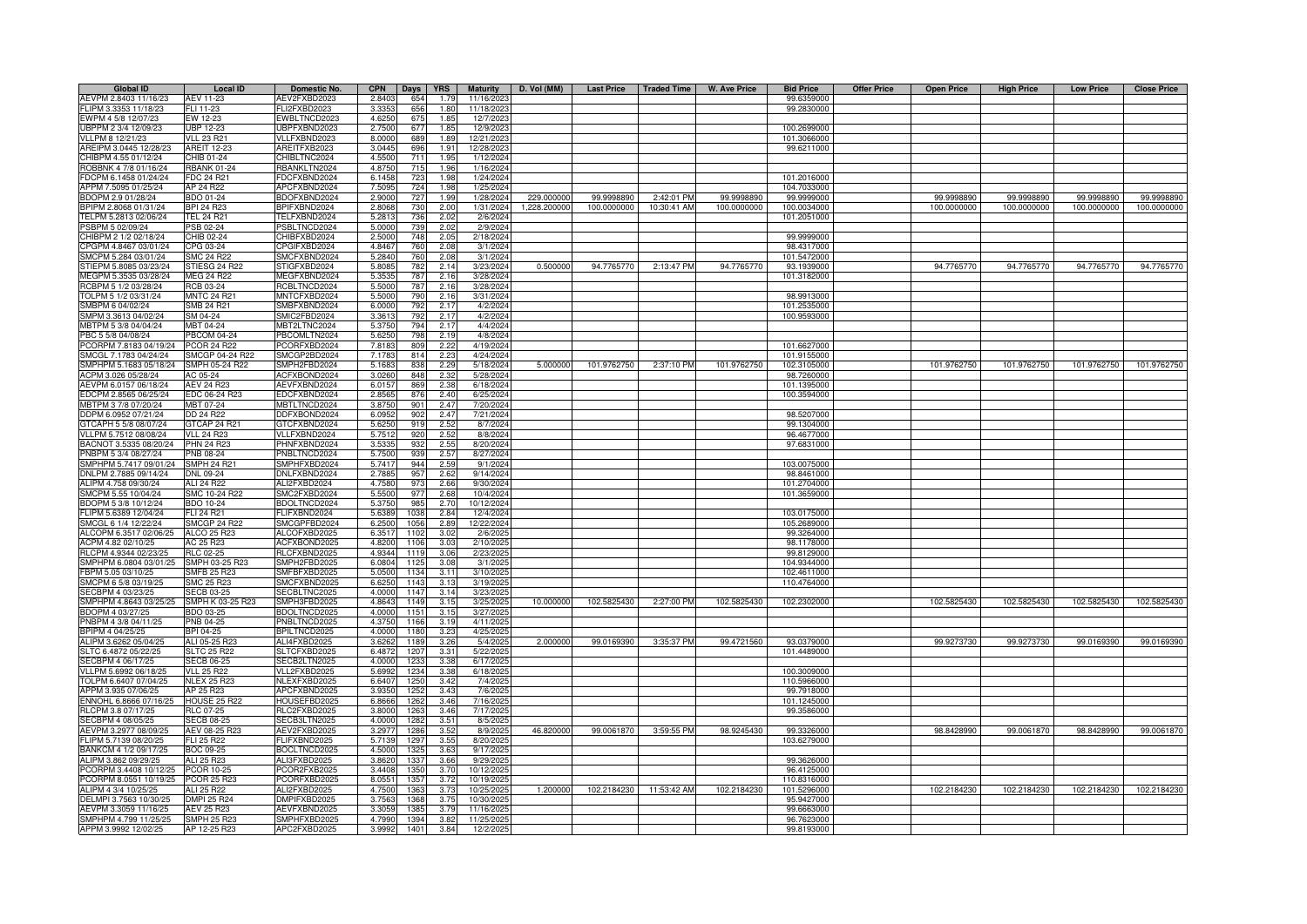| <b>Global ID</b>                             | <b>Local ID</b>               | Domestic No.                 | <b>CPN</b>       | <b>Days</b> | <b>YRS</b> | <b>Maturity</b>      | D. Vol (MM)  |             | Last Price   Traded Time | <b>W. Ave Price</b> | <b>Bid Price</b> | <b>Offer Price</b> | <b>Open Price</b> | <b>High Price</b> | <b>Low Price</b> | <b>Close Price</b> |
|----------------------------------------------|-------------------------------|------------------------------|------------------|-------------|------------|----------------------|--------------|-------------|--------------------------|---------------------|------------------|--------------------|-------------------|-------------------|------------------|--------------------|
| AEVPM 2.8403 11/16/23                        | AEV 11-23                     | AEV2FXBD2023                 | 2.840            | 654         | 1.79       | 11/16/202            |              |             |                          |                     | 99.6359000       |                    |                   |                   |                  |                    |
| FLIPM 3.3353 11/18/23                        | FLI 11-23                     | FLI2FXBD2023                 | 3.335            | 656         | 1.80       | 11/18/202            |              |             |                          |                     | 99.2830000       |                    |                   |                   |                  |                    |
| EWPM 4 5/8 12/07/23                          | EW 12-23                      | WBLTNCD2023                  | 4.625            | 675         | 1.85       | 12/7/202             |              |             |                          |                     |                  |                    |                   |                   |                  |                    |
| JBPPM 2 3/4 12/09/23                         | UBP 12-23                     | <b>JBPFXBND2023</b>          | 2.7500           | 677         | 1.85       | 12/9/202             |              |             |                          |                     | 100.2699000      |                    |                   |                   |                  |                    |
| VLLPM 8 12/21/23                             | <b>VLL 23 R21</b>             | VLLFXBND2023                 | 8.0000           | 689         | 1.89       | 12/21/2023           |              |             |                          |                     | 101.3066000      |                    |                   |                   |                  |                    |
| AREIPM 3.0445 12/28/23                       | <b>AREIT 12-23</b>            | AREITFXB2023                 | 3.0445           | 696         | 1.91       | 12/28/2023           |              |             |                          |                     | 99.6211000       |                    |                   |                   |                  |                    |
| CHIBPM 4.55 01/12/24                         | CHIB 01-24                    | CHIBLTNC2024                 | 4.5500           | 711         | 1.95       | 1/12/202             |              |             |                          |                     |                  |                    |                   |                   |                  |                    |
| ROBBNK 4 7/8 01/16/24                        | <b>RBANK 01-24</b>            | RBANKLTN2024                 | 4.8750           | 715         | 1.96       | 1/16/202             |              |             |                          |                     |                  |                    |                   |                   |                  |                    |
| FDCPM 6.1458 01/24/24                        | <b>FDC 24 R21</b>             | FDCFXBND2024                 | 6.145            | 723         | 1.98       | 1/24/2024            |              |             |                          |                     | 101.2016000      |                    |                   |                   |                  |                    |
| APPM 7.5095 01/25/24                         | AP 24 R22                     | APCFXBND2024                 | 7.509            | 724         | 1.98       | 1/25/2024            |              |             |                          |                     | 104.7033000      |                    |                   |                   |                  |                    |
|                                              |                               |                              |                  |             |            |                      |              | 99.9998890  |                          |                     | 99.9999000       |                    | 99.9998890        |                   |                  |                    |
| BDOPM 2.9 01/28/24                           | BDO 01-24                     | BDOFXBND2024                 | 2.9000           | 727         | 1.99       | 1/28/202             | 229.000000   |             | 2:42:01 PM               | 99.9998890          |                  |                    |                   | 99.9998890        | 99.9998890       | 99.9998890         |
| BPIPM 2.8068 01/31/24                        | <b>BPI 24 R23</b>             | BPIFXBND2024                 | 2.8068           | 730         | 2.00       | 1/31/2024            | 1,228.200000 | 100.0000000 | 10:30:41 AM              | 100.0000000         | 100.0034000      |                    | 100.0000000       | 100.0000000       | 100.0000000      | 100.0000000        |
| TELPM 5.2813 02/06/24                        | <b>TEL 24 R21</b>             | TELFXBND2024                 | 5.2813           | 736         | 2.02       | 2/6/2024             |              |             |                          |                     | 101.2051000      |                    |                   |                   |                  |                    |
| PSBPM 5 02/09/24                             | PSB 02-24                     | PSBLTNCD2024                 | 5.0000           | 739         | 2.02       | 2/9/2024             |              |             |                          |                     |                  |                    |                   |                   |                  |                    |
| CHIBPM 2 1/2 02/18/24                        | CHIB 02-24                    | CHIBFXBD2024                 | 2.5000           | 748         | 2.05       | 2/18/2024            |              |             |                          |                     | 99.9999000       |                    |                   |                   |                  |                    |
| CPGPM 4.8467 03/01/24                        | CPG 03-24                     | CPGIFXBD2024                 | 4.846            | 760         | 2.08       | 3/1/202              |              |             |                          |                     | 98.4317000       |                    |                   |                   |                  |                    |
| SMCPM 5.284 03/01/24                         | <b>SMC 24 R22</b>             | SMCFXBND2024                 | 5.284            | 760         | 2.08       | 3/1/202              |              |             |                          |                     | 101.5472000      |                    |                   |                   |                  |                    |
| STIEPM 5.8085 03/23/24                       | STIESG 24 R22                 | STIGFXBD2024                 | 5.808            | 782         | 2.14       | 3/23/2024            | 0.500000     | 94.7765770  | 2:13:47 PM               | 94.7765770          | 93.1939000       |                    | 94.7765770        | 94.7765770        | 94.7765770       | 94.7765770         |
| MEGPM 5.3535 03/28/24                        | <b>MEG 24 R22</b>             | MEGFXBND2024                 | 5.353            | 787         | 2.16       | 3/28/202             |              |             |                          |                     | 101.3182000      |                    |                   |                   |                  |                    |
| RCBPM 5 1/2 03/28/24                         | RCB 03-24                     | RCBLTNCD2024                 | 5.500            | 787         | 2.16       | 3/28/2024            |              |             |                          |                     |                  |                    |                   |                   |                  |                    |
| TOLPM 5 1/2 03/31/24                         | <b>MNTC 24 R21</b>            | MNTCFXBD2024                 | 5.500            | 790         | 2.16       | 3/31/2024            |              |             |                          |                     | 98.9913000       |                    |                   |                   |                  |                    |
| SMBPM 6 04/02/24                             | <b>SMB 24 R21</b>             | SMBFXBND2024                 | 6.000            | 792         | 2.17       | 4/2/202              |              |             |                          |                     | 101.2535000      |                    |                   |                   |                  |                    |
| SMPM 3.3613 04/02/24                         | SM 04-24                      | SMIC2FBD2024                 | 3.361            | 792         | 2.17       | 4/2/202              |              |             |                          |                     | 100.9593000      |                    |                   |                   |                  |                    |
| MBTPM 5 3/8 04/04/24                         | MBT 04-24                     | MBT2LTNC2024                 | 5.375            | 79          | 2.17       | 4/4/202              |              |             |                          |                     |                  |                    |                   |                   |                  |                    |
| PBC 5 5/8 04/08/24                           | <b>PBCOM 04-24</b>            | PBCOMLTN2024                 | 5.6250           | 798         | 2.19       | 4/8/2024             |              |             |                          |                     |                  |                    |                   |                   |                  |                    |
| PCORPM 7.8183 04/19/24                       | <b>PCOR 24 R22</b>            | PCORFXBD2024                 | 7.8183           | 809         | 2.22       | 4/19/2024            |              |             |                          |                     | 101.6627000      |                    |                   |                   |                  |                    |
| SMCGL 7.1783 04/24/24                        | SMCGP 04-24 R22               | SMCGP2BD2024                 | 7.1783           | 814         | 2.23       | 4/24/2024            |              |             |                          |                     | 101.9155000      |                    |                   |                   |                  |                    |
| SMPHPM 5.1683 05/18/24                       |                               |                              |                  |             |            |                      |              |             |                          |                     |                  |                    |                   |                   |                  |                    |
|                                              | SMPH 05-24 R22                | SMPH2FBD2024                 | 5.1683           | 838         | 2.29       | 5/18/2024            | 5.000000     | 101.9762750 | 2:37:10 PM               | 101.9762750         | 102.3105000      |                    | 101.9762750       | 101.9762750       | 101.9762750      | 101.9762750        |
| ACPM 3.026 05/28/24                          | AC 05-24                      | ACFXBOND2024                 | 3.0260           | 848         | 2.32       | 5/28/2024            |              |             |                          |                     | 98.7260000       |                    |                   |                   |                  |                    |
| AEVPM 6.0157 06/18/24                        | <b>AEV 24 R23</b>             | AEVFXBND2024                 | 6.015            | 869         | 2.38       | 6/18/2024            |              |             |                          |                     | 101.1395000      |                    |                   |                   |                  |                    |
| EDCPM 2.8565 06/25/24                        | EDC 06-24 R23                 | EDCFXBND2024                 | 2.856            | 876         | 2.40       | 6/25/202             |              |             |                          |                     | 100.3594000      |                    |                   |                   |                  |                    |
| MBTPM 3 7/8 07/20/24                         | MBT 07-24                     | <b>MBTLTNCD2024</b>          | 3.875            | 901         | 2.47       | 7/20/202             |              |             |                          |                     |                  |                    |                   |                   |                  |                    |
| DDPM 6.0952 07/21/24                         | DD 24 R22                     | DDFXBOND2024                 | 6.095            | 902         | 2.47       | 7/21/2024            |              |             |                          |                     | 98.5207000       |                    |                   |                   |                  |                    |
| GTCAPH 5 5/8 08/07/24                        | GTCAP 24 R21                  | <b>STCFXBND2024</b>          | 5.6250           | 919         | 2.52       | 8/7/2024             |              |             |                          |                     | 99.1304000       |                    |                   |                   |                  |                    |
| VLLPM 5.7512 08/08/24                        | <b>VLL 24 R23</b>             | /LLFXBND2024                 | 5.7512           | 920         | 2.52       | 8/8/2024             |              |             |                          |                     | 96.4677000       |                    |                   |                   |                  |                    |
| BACNOT 3.5335 08/20/24                       | <b>PHN 24 R23</b>             | HNFXBND2024                  | 3.533            | 932         | 2.55       | 8/20/202             |              |             |                          |                     | 97.6831000       |                    |                   |                   |                  |                    |
| PNBPM 5 3/4 08/27/24                         | PNB 08-24                     | PNBLTNCD2024                 | 5.750            | 939         | 2.57       | 8/27/202             |              |             |                          |                     |                  |                    |                   |                   |                  |                    |
| SMPHPM 5.7417 09/01/24                       | SMPH 24 R21                   | SMPHFXBD2024                 | 5.741            | 944         | 2.59       | 9/1/202              |              |             |                          |                     | 103.0075000      |                    |                   |                   |                  |                    |
| DNLPM 2.7885 09/14/24                        | DNL 09-24                     | DNLFXBND2024                 | 2.788            | 957         | 2.62       | 9/14/202             |              |             |                          |                     | 98.8461000       |                    |                   |                   |                  |                    |
| ALIPM 4.758 09/30/24                         | ALI 24 R22                    | ALI2FXBD2024                 | 4.758            | 97          | 2.66       | 9/30/202             |              |             |                          |                     | 101.2704000      |                    |                   |                   |                  |                    |
| SMCPM 5.55 10/04/24                          | SMC 10-24 R22                 | SMC2FXBD2024                 | 5.550            | 977         | 2.68       | 10/4/202             |              |             |                          |                     | 101.3659000      |                    |                   |                   |                  |                    |
| BDOPM 5 3/8 10/12/24                         | BDO 10-24                     | BDOLTNCD2024                 | 5.3750           | 985         | 2.70       | 10/12/2024           |              |             |                          |                     |                  |                    |                   |                   |                  |                    |
| FLIPM 5.6389 12/04/24                        | FLI 24 R21                    | FLIFXBND2024                 | 5.6389           | 1038        | 2.84       | 12/4/2024            |              |             |                          |                     | 103.0175000      |                    |                   |                   |                  |                    |
| SMCGL 6 1/4 12/22/24                         | <b>SMCGP 24 R22</b>           | SMCGPFBD2024                 | 6.2500           | 1056        | 2.89       | 12/22/2024           |              |             |                          |                     | 105.2689000      |                    |                   |                   |                  |                    |
|                                              |                               |                              |                  | 1102        | 3.02       |                      |              |             |                          |                     | 99.3264000       |                    |                   |                   |                  |                    |
| ALCOPM 6.3517 02/06/25<br>ACPM 4.82 02/10/25 | ALCO 25 R23                   | ALCOFXBD2025<br>ACFXBOND2025 | 6.3517<br>4.8200 |             | 3.03       | 2/6/2025<br>2/10/202 |              |             |                          |                     | 98.1178000       |                    |                   |                   |                  |                    |
| RLCPM 4.9344 02/23/25                        | AC 25 R23<br><b>RLC 02-25</b> | RLCFXBND2025                 | 4.934            | 1106<br>111 | 3.06       |                      |              |             |                          |                     | 99.8129000       |                    |                   |                   |                  |                    |
|                                              |                               |                              |                  |             |            | 2/23/202             |              |             |                          |                     |                  |                    |                   |                   |                  |                    |
| SMPHPM 6.0804 03/01/25                       | SMPH 03-25 R23                | SMPH2FBD2025                 | 6.080            | 112         | 3.08       | 3/1/202              |              |             |                          |                     | 104.9344000      |                    |                   |                   |                  |                    |
| FBPM 5.05 03/10/25                           | <b>SMFB 25 R23</b>            | SMFBFXBD2025                 | 5.050            | 113         | 3.11       | 3/10/202             |              |             |                          |                     | 102.4611000      |                    |                   |                   |                  |                    |
| SMCPM 6 5/8 03/19/25                         | <b>SMC 25 R23</b>             | SMCFXBND2025                 | 6.625            | 1143        | 3.13       | 3/19/202             |              |             |                          |                     | 110.4764000      |                    |                   |                   |                  |                    |
| SECBPM 4 03/23/25                            | <b>SECB 03-25</b>             | SECBLTNC2025                 | 4.000            | 1147        | 3.14       | 3/23/202             |              |             |                          |                     |                  |                    |                   |                   |                  |                    |
| SMPHPM 4.8643 03/25/25                       | SMPH K 03-25 R23              | SMPH3FBD2025                 | 4.864            | 1149        | 3.15       | 3/25/202             | 10.000000    | 102.5825430 | 2:27:00 PM               | 102.5825430         | 102.2302000      |                    | 102.5825430       | 102.5825430       | 102.5825430      | 102.5825430        |
| BDOPM 4 03/27/25                             | BDO 03-25                     | BDOLTNCD2025                 | 4.0000           | 115         | 3.15       | 3/27/202             |              |             |                          |                     |                  |                    |                   |                   |                  |                    |
| PNBPM 4 3/8 04/11/25                         | PNB 04-25                     | PNBLTNCD2025                 | 4.3750           | 1166        | 3.19       | 4/11/202             |              |             |                          |                     |                  |                    |                   |                   |                  |                    |
| BPIPM 4 04/25/25                             | BPI 04-25                     | BPILTNCD2025                 | 4.0000           | 1180        | 3.23       | 4/25/202             |              |             |                          |                     |                  |                    |                   |                   |                  |                    |
| ALIPM 3.6262 05/04/25                        | ALI 05-25 R23                 | ALI4FXBD2025                 | 3.6262           | 1189        | 3.26       | 5/4/2025             | 2.000000     | 99.0169390  | 3:35:37 PM               | 99.4721560          | 93.0379000       |                    | 99.9273730        | 99.9273730        | 99.0169390       | 99.0169390         |
| SLTC 6.4872 05/22/25                         | <b>SLTC 25 R22</b>            | SLTCFXBD2025                 | 6.4872           | 1207        | 3.31       | 5/22/202             |              |             |                          |                     | 101.4489000      |                    |                   |                   |                  |                    |
| SECBPM 4 06/17/25                            | <b>SECB 06-25</b>             | SECB2LTN2025                 | 4.0000           | 1233        | 3.38       | 6/17/2025            |              |             |                          |                     |                  |                    |                   |                   |                  |                    |
| VLLPM 5.6992 06/18/25                        | <b>VLL 25 R22</b>             | VLL2FXBD2025                 | 5.6992           | 1234        | 3.38       | 6/18/202             |              |             |                          |                     | 100.3009000      |                    |                   |                   |                  |                    |
| TOLPM 6.6407 07/04/25                        | <b>NLEX 25 R23</b>            | NLEXFXBD2025                 | 6.640            | 1250        | 3.42       | 7/4/202              |              |             |                          |                     | 110.5966000      |                    |                   |                   |                  |                    |
| APPM 3.935 07/06/25                          | AP 25 R23                     | APCFXBND2025                 | 3.935            | 1252        | 3.43       | 7/6/202              |              |             |                          |                     | 99.7918000       |                    |                   |                   |                  |                    |
| ENNOHL 6.8666 07/16/25                       | <b>HOUSE 25 R22</b>           | HOUSEFBD2025                 | 6.8666           | 1262        | 3.46       | 7/16/202             |              |             |                          |                     | 101.1245000      |                    |                   |                   |                  |                    |
| RLCPM 3.8 07/17/25                           | <b>RLC 07-25</b>              | RLC2FXBD2025                 | 3.8000           | 1263        | 3.46       | 7/17/202             |              |             |                          |                     | 99.3586000       |                    |                   |                   |                  |                    |
| SECBPM 4 08/05/25                            | <b>SECB 08-25</b>             | SECB3LTN2025                 | 4.0000           | 1282        | 3.51       | 8/5/202              |              |             |                          |                     |                  |                    |                   |                   |                  |                    |
| AEVPM 3.2977 08/09/25                        | AEV 08-25 R23                 | AEV2FXBD2025                 | 3.297            | 1286        | 3.52       | 8/9/202              | 46.820000    | 99.0061870  | 3:59:55 PM               | 98.9245430          | 99.3326000       |                    | 98.8428990        | 99.0061870        | 98.8428990       | 99.0061870         |
|                                              | FLI 25 R22                    | FLIFXBND2025                 | 5.713            |             | 3.55       | 8/20/202             |              |             |                          |                     | 103.6279000      |                    |                   |                   |                  |                    |
| FLIPM 5.7139 08/20/25                        |                               |                              |                  | 1297        |            |                      |              |             |                          |                     |                  |                    |                   |                   |                  |                    |
| BANKCM 4 1/2 09/17/25                        | <b>BOC 09-25</b>              | BOCLTNCD2025                 | 4.5000           | 1325        | 3.63       | 9/17/202             |              |             |                          |                     |                  |                    |                   |                   |                  |                    |
| ALIPM 3.862 09/29/25                         | ALI 25 R23                    | ALI3FXBD2025                 | 3.862            | 1337        | 3.66       | 9/29/202             |              |             |                          |                     | 99.3626000       |                    |                   |                   |                  |                    |
| PCORPM 3.4408 10/12/25                       | PCOR 10-25                    | PCOR2FXB2025                 | 3.440            | 1350        | 3.70       | 10/12/202            |              |             |                          |                     | 96.4125000       |                    |                   |                   |                  |                    |
| PCORPM 8.0551 10/19/25                       | <b>PCOR 25 R23</b>            | PCORFXBD2025                 | 8.055            | 1357        | 3.72       | 10/19/202            |              |             |                          |                     | 110.8316000      |                    |                   |                   |                  |                    |
| ALIPM 4 3/4 10/25/25                         | ALI 25 R22                    | ALI2FXBD2025                 | 4.7500           | 1363        | 3.73       | 10/25/202            | 1.200000     | 102.2184230 | 11:53:42 AM              | 102.2184230         | 101.5296000      |                    | 102.2184230       | 102.2184230       | 102.2184230      | 102.2184230        |
| DELMPI 3.7563 10/30/25                       | <b>DMPI 25 R24</b>            | DMPIFXBD2025                 | 3.756            | 1368        | 3.75       | 10/30/202            |              |             |                          |                     | 95.9427000       |                    |                   |                   |                  |                    |
| AEVPM 3.3059 11/16/25                        | <b>AEV 25 R23</b>             | AEVFXBND2025                 | 3.305            | 1385        | 3.79       | 11/16/202            |              |             |                          |                     | 99.6663000       |                    |                   |                   |                  |                    |
| SMPHPM 4.799 11/25/25                        | <b>SMPH 25 R23</b>            | SMPHFXBD2025                 | 4.7990           | 1394        | 3.82       | 11/25/202            |              |             |                          |                     | 96.7623000       |                    |                   |                   |                  |                    |
| APPM 3.9992 12/02/25                         | AP 12-25 R23                  | APC2FXBD2025                 | 3.9992           | 1401        | 3.84       | 12/2/2025            |              |             |                          |                     | 99.8193000       |                    |                   |                   |                  |                    |